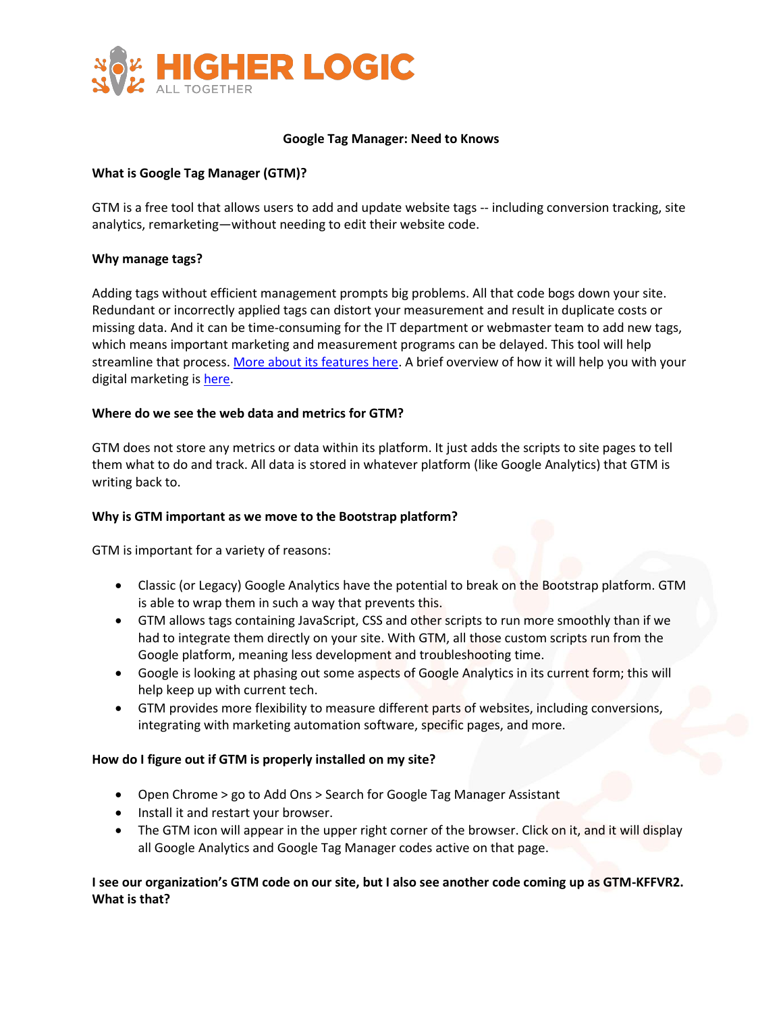

#### **Google Tag Manager: Need to Knows**

# **What is Google Tag Manager (GTM)?**

GTM is a free tool that allows users to add and update website tags -- including conversion tracking, site analytics, remarketing—without needing to edit their website code.

### **Why manage tags?**

Adding tags without efficient management prompts big problems. All that code bogs down your site. Redundant or incorrectly applied tags can distort your measurement and result in duplicate costs or missing data. And it can be time-consuming for the IT department or webmaster team to add new tags, which means important marketing and measurement programs can be delayed. This tool will help streamline that process[. More about its features here.](http://static.googleusercontent.com/media/www.google.com/en/us/tagmanager/pdfs/google-tag-manager-technical-factsheet.pdf) A brief overview of how it will help you with your digital marketing is [here.](http://static.googleusercontent.com/media/www.google.com/en/us/tagmanager/pdfs/google-tag-manager-factsheet.pdf)

### **Where do we see the web data and metrics for GTM?**

GTM does not store any metrics or data within its platform. It just adds the scripts to site pages to tell them what to do and track. All data is stored in whatever platform (like Google Analytics) that GTM is writing back to.

## **Why is GTM important as we move to the Bootstrap platform?**

GTM is important for a variety of reasons:

- Classic (or Legacy) Google Analytics have the potential to break on the Bootstrap platform. GTM is able to wrap them in such a way that prevents this.
- GTM allows tags containing JavaScript, CSS and other scripts to run more smoothly than if we had to integrate them directly on your site. With GTM, all those custom scripts run from the Google platform, meaning less development and troubleshooting time.
- Google is looking at phasing out some aspects of Google Analytics in its current form; this will help keep up with current tech.
- GTM provides more flexibility to measure different parts of websites, including conversions, integrating with marketing automation software, specific pages, and more.

#### **How do I figure out if GTM is properly installed on my site?**

- Open Chrome > go to Add Ons > Search for Google Tag Manager Assistant
- Install it and restart your browser.
- The GTM icon will appear in the upper right corner of the browser. Click on it, and it will display all Google Analytics and Google Tag Manager codes active on that page.

# **I see our organization's GTM code on our site, but I also see another code coming up as GTM-KFFVR2. What is that?**